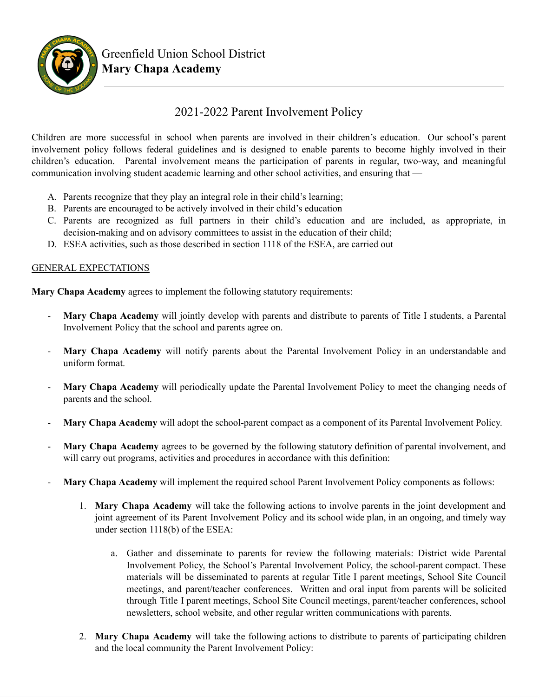

## 2021-2022 Parent Involvement Policy

Children are more successful in school when parents are involved in their children's education. Our school's parent involvement policy follows federal guidelines and is designed to enable parents to become highly involved in their children's education. Parental involvement means the participation of parents in regular, two-way, and meaningful communication involving student academic learning and other school activities, and ensuring that —

- A. Parents recognize that they play an integral role in their child's learning;
- B. Parents are encouraged to be actively involved in their child's education
- C. Parents are recognized as full partners in their child's education and are included, as appropriate, in decision-making and on advisory committees to assist in the education of their child;
- D. ESEA activities, such as those described in section 1118 of the ESEA, are carried out

## GENERAL EXPECTATIONS

**Mary Chapa Academy** agrees to implement the following statutory requirements:

- **Mary Chapa Academy** will jointly develop with parents and distribute to parents of Title I students, a Parental Involvement Policy that the school and parents agree on.
- **Mary Chapa Academy** will notify parents about the Parental Involvement Policy in an understandable and uniform format.
- Mary Chapa Academy will periodically update the Parental Involvement Policy to meet the changing needs of parents and the school.
- **Mary Chapa Academy** will adopt the school-parent compact as a component of its Parental Involvement Policy.
- **Mary Chapa Academy** agrees to be governed by the following statutory definition of parental involvement, and will carry out programs, activities and procedures in accordance with this definition:
- **Mary Chapa Academy** will implement the required school Parent Involvement Policy components as follows:
	- 1. **Mary Chapa Academy** will take the following actions to involve parents in the joint development and joint agreement of its Parent Involvement Policy and its school wide plan, in an ongoing, and timely way under section 1118(b) of the ESEA:
		- a. Gather and disseminate to parents for review the following materials: District wide Parental Involvement Policy, the School's Parental Involvement Policy, the school-parent compact. These materials will be disseminated to parents at regular Title I parent meetings, School Site Council meetings, and parent/teacher conferences. Written and oral input from parents will be solicited through Title I parent meetings, School Site Council meetings, parent/teacher conferences, school newsletters, school website, and other regular written communications with parents.
	- 2. **Mary Chapa Academy** will take the following actions to distribute to parents of participating children and the local community the Parent Involvement Policy: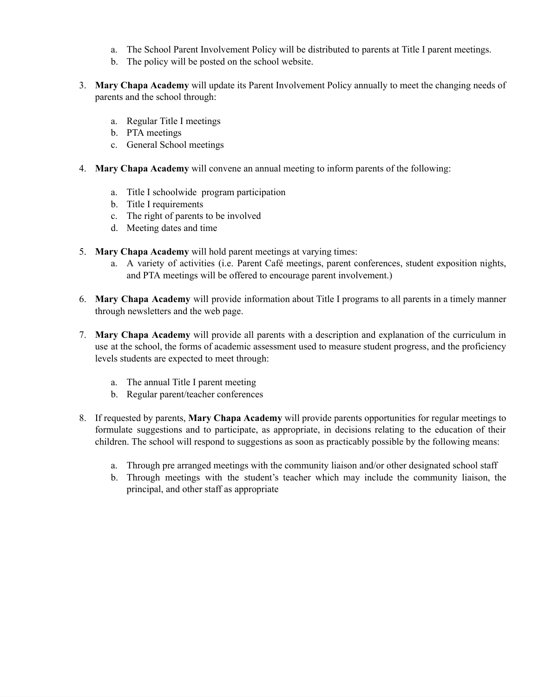- a. The School Parent Involvement Policy will be distributed to parents at Title I parent meetings.
- b. The policy will be posted on the school website.
- 3. **Mary Chapa Academy** will update its Parent Involvement Policy annually to meet the changing needs of parents and the school through:
	- a. Regular Title I meetings
	- b. PTA meetings
	- c. General School meetings
- 4. **Mary Chapa Academy** will convene an annual meeting to inform parents of the following:
	- a. Title I schoolwide program participation
	- b. Title I requirements
	- c. The right of parents to be involved
	- d. Meeting dates and time
- 5. **Mary Chapa Academy** will hold parent meetings at varying times:
	- a. A variety of activities (i.e. Parent Café meetings, parent conferences, student exposition nights, and PTA meetings will be offered to encourage parent involvement.)
- 6. **Mary Chapa Academy** will provide information about Title I programs to all parents in a timely manner through newsletters and the web page.
- 7. **Mary Chapa Academy** will provide all parents with a description and explanation of the curriculum in use at the school, the forms of academic assessment used to measure student progress, and the proficiency levels students are expected to meet through:
	- a. The annual Title I parent meeting
	- b. Regular parent/teacher conferences
- 8. If requested by parents, **Mary Chapa Academy** will provide parents opportunities for regular meetings to formulate suggestions and to participate, as appropriate, in decisions relating to the education of their children. The school will respond to suggestions as soon as practicably possible by the following means:
	- a. Through pre arranged meetings with the community liaison and/or other designated school staff
	- b. Through meetings with the student's teacher which may include the community liaison, the principal, and other staff as appropriate